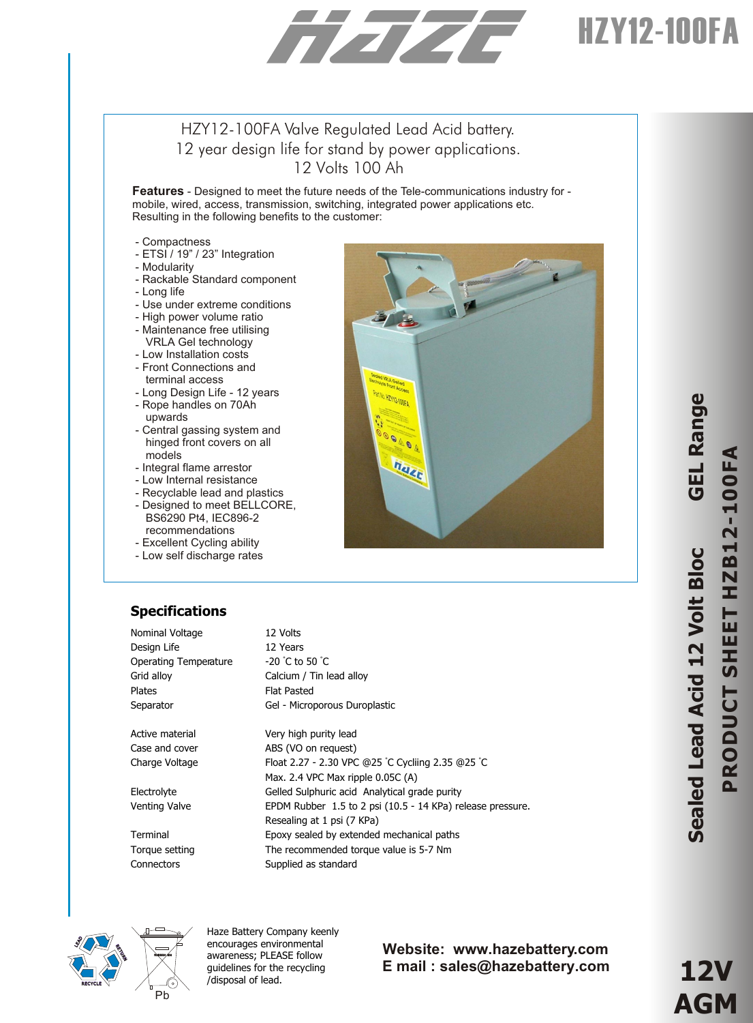# HZY12-100FA

### HZY12-100FA Valve Regulated Lead Acid battery. 12 year design life for stand by power applications. 12 Volts 100 Ah

**Features** - Designed to meet the future needs of the Tele-communications industry for mobile, wired, access, transmission, switching, integrated power applications etc. Resulting in the following benefits to the customer:

- Compactness
- ETSI / 19" / 23" Integration
- Modularity
- Rackable Standard component
- Long life
- Use under extreme conditions
- High power volume ratio
- Maintenance free utilising
- VRLA Gel technology
- Low Installation costs
- Front Connections and terminal access
- Long Design Life 12 years - Rope handles on 70Ah
- upwards - Central gassing system and hinged front covers on all
- models
- Integral flame arrestor
- Low Internal resistance
- Recyclable lead and plastics
- Designed to meet BELLCORE, BS6290 Pt4, IEC896-2
- recommendations
- Excellent Cycling ability
- Low self discharge rates

# haz

### **Specifications**

| Nominal Voltage       | 12 Volts                                                   |
|-----------------------|------------------------------------------------------------|
| Design Life           | 12 Years                                                   |
| Operating Temperature | $-20$ °C to 50 °C                                          |
| Grid alloy            | Calcium / Tin lead alloy                                   |
| <b>Plates</b>         | <b>Flat Pasted</b>                                         |
| Separator             | Gel - Microporous Duroplastic                              |
|                       |                                                            |
| Active material       | Very high purity lead                                      |
| Case and cover        | ABS (VO on request)                                        |
| Charge Voltage        | Float 2.27 - 2.30 VPC @25 °C Cycliing 2.35 @25 °C          |
|                       | Max. 2.4 VPC Max ripple 0.05C (A)                          |
| Electrolyte           | Gelled Sulphuric acid Analytical grade purity              |
| Venting Valve         | EPDM Rubber 1.5 to 2 psi (10.5 - 14 KPa) release pressure. |
|                       | Resealing at 1 psi (7 KPa)                                 |
| Terminal              | Epoxy sealed by extended mechanical paths                  |
| Torque setting        | The recommended torque value is 5-7 Nm                     |
| Connectors            | Supplied as standard                                       |



Haze Battery Company keenly encourages environmental awareness; PLEASE follow guidelines for the recycling /disposal of lead.

### **Website: www.hazebattery.com E mail : sales@hazebattery.com**

**12V AGM**